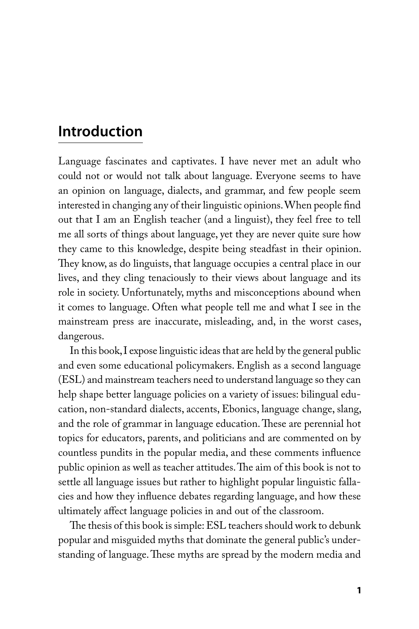## **Introduction**

Language fascinates and captivates. I have never met an adult who could not or would not talk about language. Everyone seems to have an opinion on language, dialects, and grammar, and few people seem interested in changing any of their linguistic opinions. When people find out that I am an English teacher (and a linguist), they feel free to tell me all sorts of things about language, yet they are never quite sure how they came to this knowledge, despite being steadfast in their opinion. They know, as do linguists, that language occupies a central place in our lives, and they cling tenaciously to their views about language and its role in society. Unfortunately, myths and misconceptions abound when it comes to language. Often what people tell me and what I see in the mainstream press are inaccurate, misleading, and, in the worst cases, dangerous.

In this book, I expose linguistic ideas that are held by the general public and even some educational policymakers. English as a second language (ESL) and mainstream teachers need to understand language so they can help shape better language policies on a variety of issues: bilingual education, non-standard dialects, accents, Ebonics, language change, slang, and the role of grammar in language education. These are perennial hot topics for educators, parents, and politicians and are commented on by countless pundits in the popular media, and these comments influence public opinion as well as teacher attitudes. The aim of this book is not to settle all language issues but rather to highlight popular linguistic fallacies and how they influence debates regarding language, and how these ultimately affect language policies in and out of the classroom.

The thesis of this book is simple: ESL teachers should work to debunk popular and misguided myths that dominate the general public's understanding of language. These myths are spread by the modern media and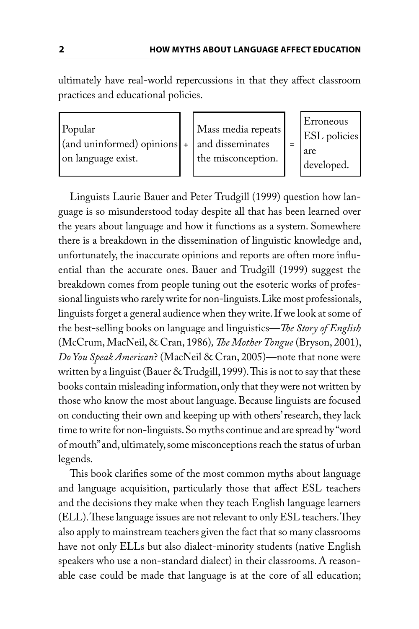ultimately have real-world repercussions in that they affect classroom practices and educational policies.

| Popular<br>$\alpha$ (and uninformed) opinions $\alpha$ + $\alpha$ and disseminates<br>on language exist. | Mass media repeats<br>the misconception. | Erroneous<br><b>ESL</b> policies<br>l are<br>developed. |
|----------------------------------------------------------------------------------------------------------|------------------------------------------|---------------------------------------------------------|
|                                                                                                          |                                          |                                                         |

Linguists Laurie Bauer and Peter Trudgill (1999) question how language is so misunderstood today despite all that has been learned over the years about language and how it functions as a system. Somewhere there is a breakdown in the dissemination of linguistic knowledge and, unfortunately, the inaccurate opinions and reports are often more influential than the accurate ones. Bauer and Trudgill (1999) suggest the breakdown comes from people tuning out the esoteric works of professional linguists who rarely write for non-linguists. Like most professionals, linguists forget a general audience when they write. If we look at some of the best-selling books on language and linguistics—*The Story of English* (McCrum, MacNeil, & Cran, 1986), The Mother Tongue (Bryson, 2001), *Do You Speak American*? (MacNeil & Cran, 2005)—note that none were written by a linguist (Bauer & Trudgill, 1999). This is not to say that these books contain misleading information, only that they were not written by those who know the most about language. Because linguists are focused on conducting their own and keeping up with others' research, they lack time to write for non-linguists. So myths continue and are spread by "word of mouth" and, ultimately, some misconceptions reach the status of urban legends.

This book clarifies some of the most common myths about language and language acquisition, particularly those that affect ESL teachers and the decisions they make when they teach English language learners (ELL). These language issues are not relevant to only ESL teachers. They also apply to mainstream teachers given the fact that so many classrooms have not only ELLs but also dialect-minority students (native English speakers who use a non-standard dialect) in their classrooms. A reasonable case could be made that language is at the core of all education;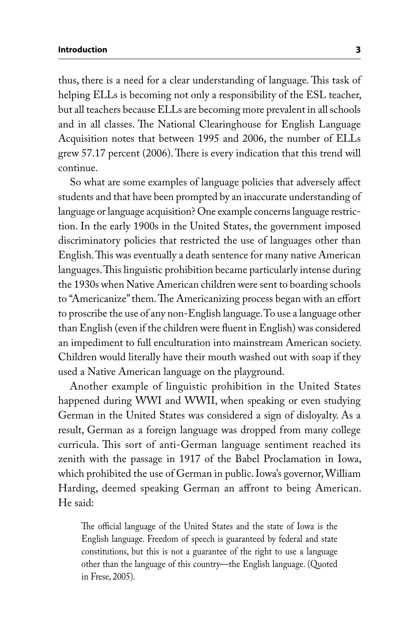thus, there is a need for a clear understanding of language. This task of helping ELLs is becoming not only a responsibility of the ESL teacher, but all teachers because ELLs are becoming more prevalent in all schools and in all classes. The National Clearinghouse for English Language Acquisition notes that between 1995 and 2006, the number of ELLs grew 57.17 percent (2006). There is every indication that this trend will continue.

So what are some examples of language policies that adversely affect students and that have been prompted by an inaccurate understanding of language or language acquisition? One example concerns language restriction. In the early 1900s in the United States, the government imposed discriminatory policies that restricted the use of languages other than English. This was eventually a death sentence for many native American languages. This linguistic prohibition became particularly intense during the 1930s when Native American children were sent to boarding schools to "Americanize" them. The Americanizing process began with an effort to proscribe the use of any non-English language. To use a language other than English (even if the children were fluent in English) was considered an impediment to full enculturation into mainstream American society. Children would literally have their mouth washed out with soap if they used a Native American language on the playground.

Another example of linguistic prohibition in the United States happened during WWI and WWII, when speaking or even studying German in the United States was considered a sign of disloyalty. As a result, German as a foreign language was dropped from many college curricula. This sort of anti-German language sentiment reached its zenith with the passage in 1917 of the Babel Proclamation in Iowa, which prohibited the use of German in public. Iowa's governor, William Harding, deemed speaking German an affront to being American. He said:

The official language of the United States and the state of Iowa is the English language. Freedom of speech is guaranteed by federal and state constitutions, but this is not a guarantee of the right to use a language other than the language of this country—the English language. (Quoted in Frese, 2005).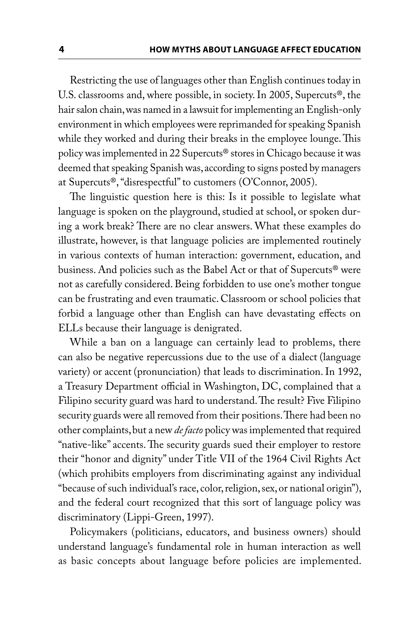Restricting the use of languages other than English continues today in U.S. classrooms and, where possible, in society. In 2005, Supercuts®, the hair salon chain, was named in a lawsuit for implementing an English-only environment in which employees were reprimanded for speaking Spanish while they worked and during their breaks in the employee lounge. This policy was implemented in 22 Supercuts® stores in Chicago because it was deemed that speaking Spanish was, according to signs posted by managers at Supercuts®, "disrespectful" to customers (O'Connor, 2005).

The linguistic question here is this: Is it possible to legislate what language is spoken on the playground, studied at school, or spoken during a work break? There are no clear answers. What these examples do illustrate, however, is that language policies are implemented routinely in various contexts of human interaction: government, education, and business. And policies such as the Babel Act or that of Supercuts® were not as carefully considered. Being forbidden to use one's mother tongue can be frustrating and even traumatic. Classroom or school policies that forbid a language other than English can have devastating effects on ELLs because their language is denigrated.

While a ban on a language can certainly lead to problems, there can also be negative repercussions due to the use of a dialect (language variety) or accent (pronunciation) that leads to discrimination. In 1992, a Treasury Department official in Washington, DC, complained that a Filipino security guard was hard to understand. The result? Five Filipino security guards were all removed from their positions. There had been no other complaints, but a new *de facto* policy was implemented that required "native-like" accents. The security guards sued their employer to restore their "honor and dignity" under Title VII of the 1964 Civil Rights Act (which prohibits employers from discriminating against any individual "because of such individual's race, color, religion, sex, or national origin"), and the federal court recognized that this sort of language policy was discriminatory (Lippi-Green, 1997).

Policymakers (politicians, educators, and business owners) should understand language's fundamental role in human interaction as well as basic concepts about language before policies are implemented.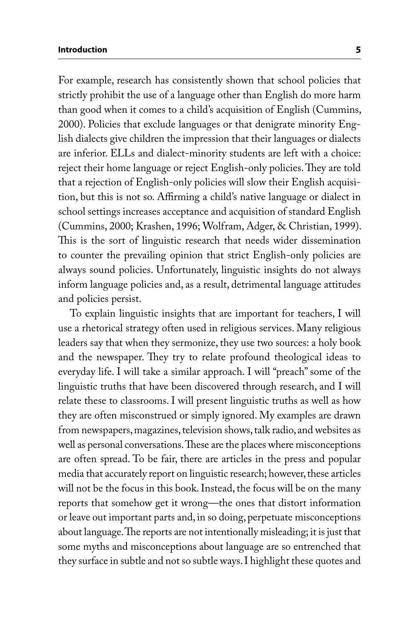## **Introduction 5**

For example, research has consistently shown that school policies that strictly prohibit the use of a language other than English do more harm than good when it comes to a child's acquisition of English (Cummins, 2000). Policies that exclude languages or that denigrate minority English dialects give children the impression that their languages or dialects are inferior. ELLs and dialect-minority students are left with a choice: reject their home language or reject English-only policies. They are told that a rejection of English-only policies will slow their English acquisition, but this is not so. Affirming a child's native language or dialect in school settings increases acceptance and acquisition of standard English (Cummins, 2000; Krashen, 1996; Wolfram, Adger, & Christian, 1999). This is the sort of linguistic research that needs wider dissemination to counter the prevailing opinion that strict English-only policies are always sound policies. Unfortunately, linguistic insights do not always inform language policies and, as a result, detrimental language attitudes and policies persist.

To explain linguistic insights that are important for teachers, I will use a rhetorical strategy often used in religious services. Many religious leaders say that when they sermonize, they use two sources: a holy book and the newspaper. They try to relate profound theological ideas to everyday life. I will take a similar approach. I will "preach" some of the linguistic truths that have been discovered through research, and I will relate these to classrooms. I will present linguistic truths as well as how they are often misconstrued or simply ignored. My examples are drawn from newspapers, magazines, television shows, talk radio, and websites as well as personal conversations. These are the places where misconceptions are often spread. To be fair, there are articles in the press and popular media that accurately report on linguistic research; however, these articles will not be the focus in this book. Instead, the focus will be on the many reports that somehow get it wrong—the ones that distort information or leave out important parts and, in so doing, perpetuate misconceptions about language. The reports are not intentionally misleading; it is just that some myths and misconceptions about language are so entrenched that they surface in subtle and not so subtle ways. I highlight these quotes and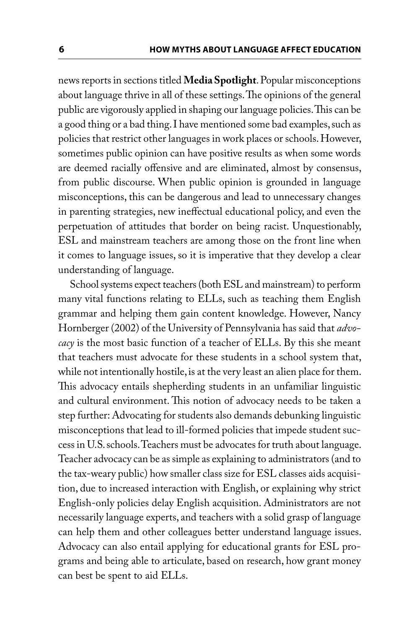news reports in sections titled **Media Spotlight**. Popular misconceptions about language thrive in all of these settings. The opinions of the general public are vigorously applied in shaping our language policies. This can be a good thing or a bad thing. I have mentioned some bad examples, such as policies that restrict other languages in work places or schools. However, sometimes public opinion can have positive results as when some words are deemed racially offensive and are eliminated, almost by consensus, from public discourse. When public opinion is grounded in language misconceptions, this can be dangerous and lead to unnecessary changes in parenting strategies, new ineffectual educational policy, and even the perpetuation of attitudes that border on being racist. Unquestionably, ESL and mainstream teachers are among those on the front line when it comes to language issues, so it is imperative that they develop a clear understanding of language.

School systems expect teachers (both ESL and mainstream) to perform many vital functions relating to ELLs, such as teaching them English grammar and helping them gain content knowledge. However, Nancy Hornberger (2002) of the University of Pennsylvania has said that *advocacy* is the most basic function of a teacher of ELLs. By this she meant that teachers must advocate for these students in a school system that, while not intentionally hostile, is at the very least an alien place for them. This advocacy entails shepherding students in an unfamiliar linguistic and cultural environment. This notion of advocacy needs to be taken a step further: Advocating for students also demands debunking linguistic misconceptions that lead to ill-formed policies that impede student success in U.S. schools. Teachers must be advocates for truth about language. Teacher advocacy can be as simple as explaining to administrators (and to the tax-weary public) how smaller class size for ESL classes aids acquisition, due to increased interaction with English, or explaining why strict English-only policies delay English acquisition. Administrators are not necessarily language experts, and teachers with a solid grasp of language can help them and other colleagues better understand language issues. Advocacy can also entail applying for educational grants for ESL programs and being able to articulate, based on research, how grant money can best be spent to aid ELLs.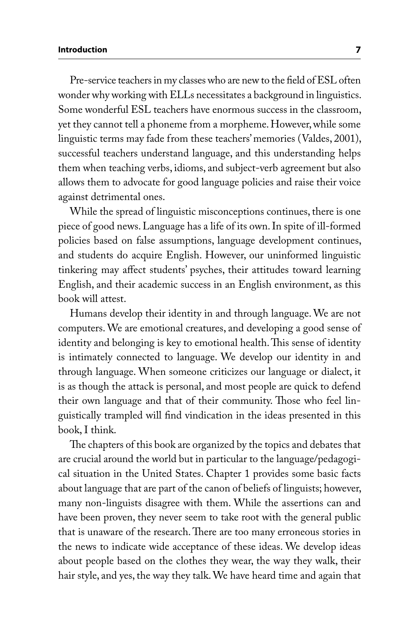## **Introduction 7**

Pre-service teachers in my classes who are new to the field of ESL often wonder why working with ELLs necessitates a background in linguistics. Some wonderful ESL teachers have enormous success in the classroom, yet they cannot tell a phoneme from a morpheme. However, while some linguistic terms may fade from these teachers' memories (Valdes, 2001), successful teachers understand language, and this understanding helps them when teaching verbs, idioms, and subject-verb agreement but also allows them to advocate for good language policies and raise their voice against detrimental ones.

While the spread of linguistic misconceptions continues, there is one piece of good news. Language has a life of its own. In spite of ill-formed policies based on false assumptions, language development continues, and students do acquire English. However, our uninformed linguistic tinkering may affect students' psyches, their attitudes toward learning English, and their academic success in an English environment, as this book will attest.

Humans develop their identity in and through language. We are not computers. We are emotional creatures, and developing a good sense of identity and belonging is key to emotional health. This sense of identity is intimately connected to language. We develop our identity in and through language. When someone criticizes our language or dialect, it is as though the attack is personal, and most people are quick to defend their own language and that of their community. Those who feel linguistically trampled will find vindication in the ideas presented in this book, I think.

The chapters of this book are organized by the topics and debates that are crucial around the world but in particular to the language/pedagogical situation in the United States. Chapter 1 provides some basic facts about language that are part of the canon of beliefs of linguists; however, many non-linguists disagree with them. While the assertions can and have been proven, they never seem to take root with the general public that is unaware of the research. There are too many erroneous stories in the news to indicate wide acceptance of these ideas. We develop ideas about people based on the clothes they wear, the way they walk, their hair style, and yes, the way they talk. We have heard time and again that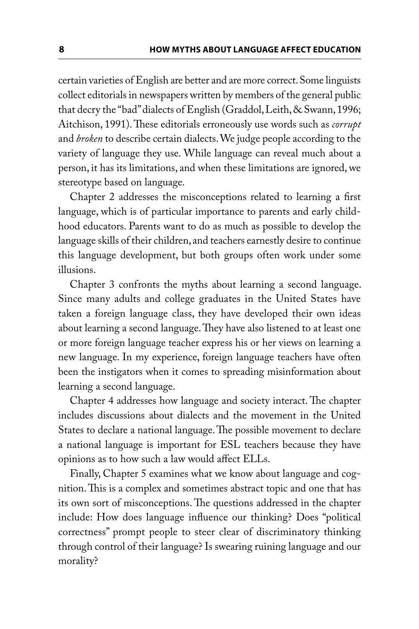certain varieties of English are better and are more correct. Some linguists collect editorials in newspapers written by members of the general public that decry the "bad" dialects of English (Graddol, Leith, & Swann, 1996; Aitchison, 1991). These editorials erroneously use words such as *corrupt* and *broken* to describe certain dialects. We judge people according to the variety of language they use. While language can reveal much about a person, it has its limitations, and when these limitations are ignored, we stereotype based on language.

Chapter 2 addresses the misconceptions related to learning a first language, which is of particular importance to parents and early childhood educators. Parents want to do as much as possible to develop the language skills of their children, and teachers earnestly desire to continue this language development, but both groups often work under some illusions.

Chapter 3 confronts the myths about learning a second language. Since many adults and college graduates in the United States have taken a foreign language class, they have developed their own ideas about learning a second language. They have also listened to at least one or more foreign language teacher express his or her views on learning a new language. In my experience, foreign language teachers have often been the instigators when it comes to spreading misinformation about learning a second language.

Chapter 4 addresses how language and society interact. The chapter includes discussions about dialects and the movement in the United States to declare a national language. The possible movement to declare a national language is important for ESL teachers because they have opinions as to how such a law would affect ELLs.

Finally, Chapter 5 examines what we know about language and cognition. This is a complex and sometimes abstract topic and one that has its own sort of misconceptions. The questions addressed in the chapter include: How does language influence our thinking? Does "political correctness" prompt people to steer clear of discriminatory thinking through control of their language? Is swearing ruining language and our morality?